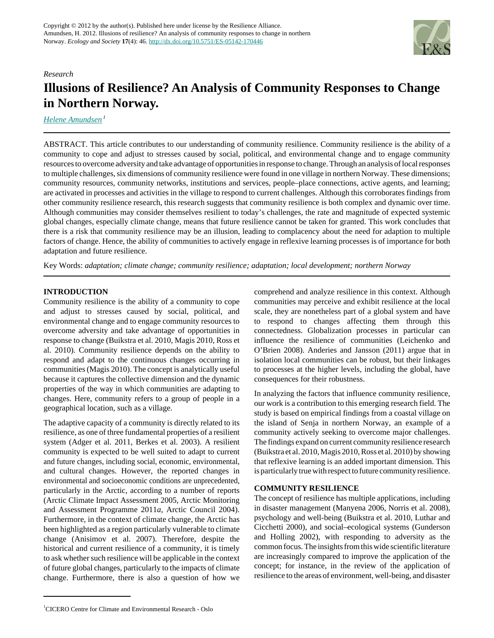

## *Research*

# **Illusions of Resilience? An Analysis of Community Responses to Change in Northern Norway.**

*[Helene Amundsen](mailto:helene.amundsen@cicero.uio.no)<sup>1</sup>*

ABSTRACT. This article contributes to our understanding of community resilience. Community resilience is the ability of a community to cope and adjust to stresses caused by social, political, and environmental change and to engage community resources to overcome adversity and take advantage of opportunities in response to change. Through an analysis of local responses to multiple challenges, six dimensions of community resilience were found in one village in northern Norway. These dimensions; community resources, community networks, institutions and services, people–place connections, active agents, and learning; are activated in processes and activities in the village to respond to current challenges. Although this corroborates findings from other community resilience research, this research suggests that community resilience is both complex and dynamic over time. Although communities may consider themselves resilient to today's challenges, the rate and magnitude of expected systemic global changes, especially climate change, means that future resilience cannot be taken for granted. This work concludes that there is a risk that community resilience may be an illusion, leading to complacency about the need for adaption to multiple factors of change. Hence, the ability of communities to actively engage in reflexive learning processes is of importance for both adaptation and future resilience.

Key Words: *adaptation; climate change; community resilience; adaptation; local development; northern Norway*

#### **INTRODUCTION**

Community resilience is the ability of a community to cope and adjust to stresses caused by social, political, and environmental change and to engage community resources to overcome adversity and take advantage of opportunities in response to change (Buikstra et al. 2010, Magis 2010, Ross et al. 2010). Community resilience depends on the ability to respond and adapt to the continuous changes occurring in communities (Magis 2010). The concept is analytically useful because it captures the collective dimension and the dynamic properties of the way in which communities are adapting to changes. Here, community refers to a group of people in a geographical location, such as a village.

The adaptive capacity of a community is directly related to its resilience, as one of three fundamental properties of a resilient system (Adger et al. 2011, Berkes et al. 2003). A resilient community is expected to be well suited to adapt to current and future changes, including social, economic, environmental, and cultural changes. However, the reported changes in environmental and socioeconomic conditions are unprecedented, particularly in the Arctic, according to a number of reports (Arctic Climate Impact Assessment 2005, Arctic Monitoring and Assessment Programme 2011*a*, Arctic Council 2004). Furthermore, in the context of climate change, the Arctic has been highlighted as a region particularly vulnerable to climate change (Anisimov et al. 2007). Therefore, despite the historical and current resilience of a community, it is timely to ask whether such resilience will be applicable in the context of future global changes, particularly to the impacts of climate change. Furthermore, there is also a question of how we comprehend and analyze resilience in this context. Although communities may perceive and exhibit resilience at the local scale, they are nonetheless part of a global system and have to respond to changes affecting them through this connectedness. Globalization processes in particular can influence the resilience of communities (Leichenko and O'Brien 2008). Anderies and Jansson (2011) argue that in isolation local communities can be robust, but their linkages to processes at the higher levels, including the global, have consequences for their robustness.

In analyzing the factors that influence community resilience, our work is a contribution to this emerging research field. The study is based on empirical findings from a coastal village on the island of Senja in northern Norway, an example of a community actively seeking to overcome major challenges. The findings expand on current community resilience research (Buikstra et al. 2010, Magis 2010, Ross et al. 2010) by showing that reflexive learning is an added important dimension. This is particularly true with respect to future community resilience.

#### **COMMUNITY RESILIENCE**

The concept of resilience has multiple applications, including in disaster management (Manyena 2006, Norris et al. 2008), psychology and well-being (Buikstra et al. 2010, Luthar and Cicchetti 2000), and social–ecological systems (Gunderson and Holling 2002), with responding to adversity as the common focus. The insights from this wide scientific literature are increasingly compared to improve the application of the concept; for instance, in the review of the application of resilience to the areas of environment, well-being, and disaster

<sup>1</sup>CICERO Centre for Climate and Environmental Research - Oslo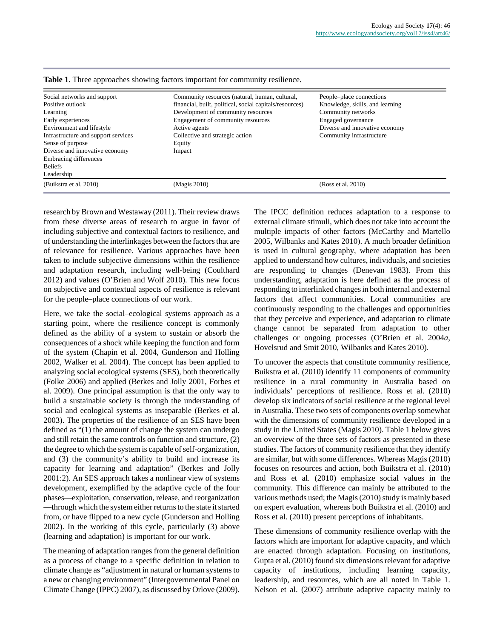| Social networks and support         | Community resources (natural, human, cultural,          | People-place connections        |  |
|-------------------------------------|---------------------------------------------------------|---------------------------------|--|
| Positive outlook                    | financial, built, political, social capitals/resources) | Knowledge, skills, and learning |  |
| Learning                            | Development of community resources                      | Community networks              |  |
| Early experiences                   | Engagement of community resources                       | Engaged governance              |  |
| Environment and lifestyle           | Active agents                                           | Diverse and innovative economy  |  |
| Infrastructure and support services | Collective and strategic action                         | Community infrastructure        |  |
| Sense of purpose                    | Equity                                                  |                                 |  |
| Diverse and innovative economy      | Impact                                                  |                                 |  |
| Embracing differences               |                                                         |                                 |  |
| <b>Beliefs</b>                      |                                                         |                                 |  |
| Leadership                          |                                                         |                                 |  |
| (Buikstra et al. 2010)              | (Magis 2010)                                            | (Ross et al. 2010)              |  |

|  |  | Table 1. Three approaches showing factors important for community resilience. |
|--|--|-------------------------------------------------------------------------------|
|  |  |                                                                               |

research by Brown and Westaway (2011). Their review draws from these diverse areas of research to argue in favor of including subjective and contextual factors to resilience, and of understanding the interlinkages between the factors that are of relevance for resilience. Various approaches have been taken to include subjective dimensions within the resilience and adaptation research, including well-being (Coulthard 2012) and values (O'Brien and Wolf 2010). This new focus on subjective and contextual aspects of resilience is relevant for the people–place connections of our work.

Here, we take the social–ecological systems approach as a starting point, where the resilience concept is commonly defined as the ability of a system to sustain or absorb the consequences of a shock while keeping the function and form of the system (Chapin et al. 2004, Gunderson and Holling 2002, Walker et al. 2004). The concept has been applied to analyzing social ecological systems (SES), both theoretically (Folke 2006) and applied (Berkes and Jolly 2001, Forbes et al. 2009). One principal assumption is that the only way to build a sustainable society is through the understanding of social and ecological systems as inseparable (Berkes et al. 2003). The properties of the resilience of an SES have been defined as "(1) the amount of change the system can undergo and still retain the same controls on function and structure, (2) the degree to which the system is capable of self-organization, and (3) the community's ability to build and increase its capacity for learning and adaptation" (Berkes and Jolly 2001:2). An SES approach takes a nonlinear view of systems development, exemplified by the adaptive cycle of the four phases—exploitation, conservation, release, and reorganization —through which the system either returns to the state it started from, or have flipped to a new cycle (Gunderson and Holling 2002). In the working of this cycle, particularly (3) above (learning and adaptation) is important for our work.

The meaning of adaptation ranges from the general definition as a process of change to a specific definition in relation to climate change as "adjustment in natural or human systems to a new or changing environment" (Intergovernmental Panel on Climate Change (IPPC) 2007), as discussed by Orlove (2009). The IPCC definition reduces adaptation to a response to external climate stimuli, which does not take into account the multiple impacts of other factors (McCarthy and Martello 2005, Wilbanks and Kates 2010). A much broader definition is used in cultural geography, where adaptation has been applied to understand how cultures, individuals, and societies are responding to changes (Denevan 1983). From this understanding, adaptation is here defined as the process of responding to interlinked changes in both internal and external factors that affect communities. Local communities are continuously responding to the challenges and opportunities that they perceive and experience, and adaptation to climate change cannot be separated from adaptation to other challenges or ongoing processes (O'Brien et al. 2004*a*, Hovelsrud and Smit 2010, Wilbanks and Kates 2010).

To uncover the aspects that constitute community resilience, Buikstra et al. (2010) identify 11 components of community resilience in a rural community in Australia based on individuals' perceptions of resilience. Ross et al. (2010) develop six indicators of social resilience at the regional level in Australia. These two sets of components overlap somewhat with the dimensions of community resilience developed in a study in the United States (Magis 2010). Table 1 below gives an overview of the three sets of factors as presented in these studies. The factors of community resilience that they identify are similar, but with some differences. Whereas Magis (2010) focuses on resources and action, both Buikstra et al. (2010) and Ross et al. (2010) emphasize social values in the community. This difference can mainly be attributed to the various methods used; the Magis (2010) study is mainly based on expert evaluation, whereas both Buikstra et al. (2010) and Ross et al. (2010) present perceptions of inhabitants.

These dimensions of community resilience overlap with the factors which are important for adaptive capacity, and which are enacted through adaptation. Focusing on institutions, Gupta et al. (2010) found six dimensions relevant for adaptive capacity of institutions, including learning capacity, leadership, and resources, which are all noted in Table 1. Nelson et al. (2007) attribute adaptive capacity mainly to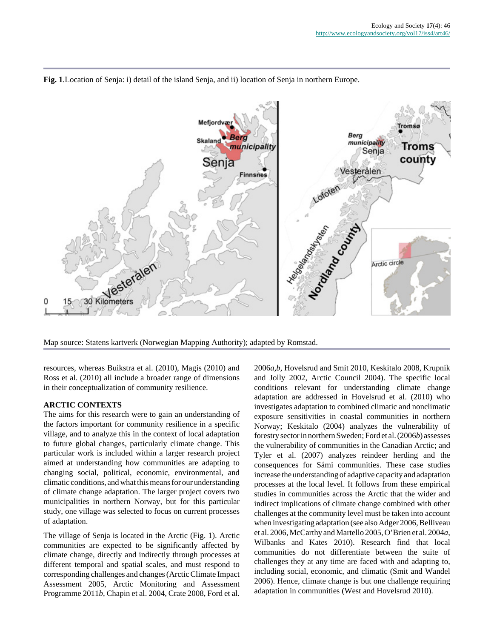

**Fig. 1**.Location of Senja: i) detail of the island Senja, and ii) location of Senja in northern Europe.

Map source: Statens kartverk (Norwegian Mapping Authority); adapted by Romstad.

resources, whereas Buikstra et al. (2010), Magis (2010) and Ross et al. (2010) all include a broader range of dimensions in their conceptualization of community resilience.

# **ARCTIC CONTEXTS**

The aims for this research were to gain an understanding of the factors important for community resilience in a specific village, and to analyze this in the context of local adaptation to future global changes, particularly climate change. This particular work is included within a larger research project aimed at understanding how communities are adapting to changing social, political, economic, environmental, and climatic conditions, and what this means for our understanding of climate change adaptation. The larger project covers two municipalities in northern Norway, but for this particular study, one village was selected to focus on current processes of adaptation.

The village of Senja is located in the Arctic (Fig. 1). Arctic communities are expected to be significantly affected by climate change, directly and indirectly through processes at different temporal and spatial scales, and must respond to corresponding challenges and changes (Arctic Climate Impact Assessment 2005, Arctic Monitoring and Assessment Programme 2011*b*, Chapin et al. 2004, Crate 2008, Ford et al. 2006*a*,*b*, Hovelsrud and Smit 2010, Keskitalo 2008, Krupnik and Jolly 2002, Arctic Council 2004). The specific local conditions relevant for understanding climate change adaptation are addressed in Hovelsrud et al. (2010) who investigates adaptation to combined climatic and nonclimatic exposure sensitivities in coastal communities in northern Norway; Keskitalo (2004) analyzes the vulnerability of forestry sector in northern Sweden; Ford et al. (2006*b*) assesses the vulnerability of communities in the Canadian Arctic; and Tyler et al. (2007) analyzes reindeer herding and the consequences for Sámi communities. These case studies increase the understanding of adaptive capacity and adaptation processes at the local level. It follows from these empirical studies in communities across the Arctic that the wider and indirect implications of climate change combined with other challenges at the community level must be taken into account when investigating adaptation (see also Adger 2006, Belliveau et al. 2006, McCarthy and Martello 2005, O'Brien et al. 2004*a*, Wilbanks and Kates 2010). Research find that local communities do not differentiate between the suite of challenges they at any time are faced with and adapting to, including social, economic, and climatic (Smit and Wandel 2006). Hence, climate change is but one challenge requiring adaptation in communities (West and Hovelsrud 2010).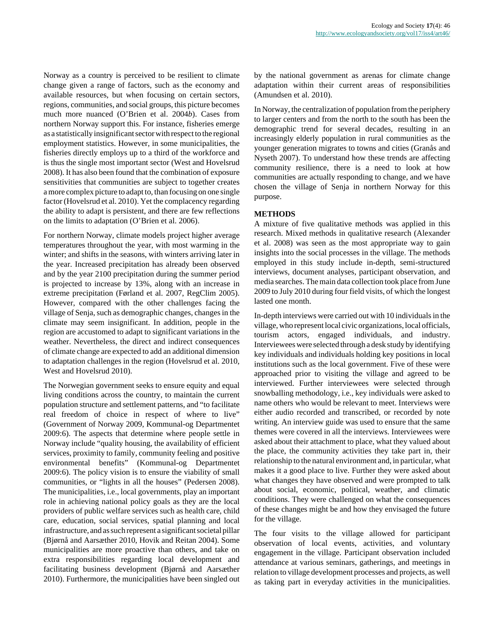Norway as a country is perceived to be resilient to climate change given a range of factors, such as the economy and available resources, but when focusing on certain sectors, regions, communities, and social groups, this picture becomes much more nuanced (O'Brien et al. 2004*b*). Cases from northern Norway support this. For instance, fisheries emerge as a statistically insignificant sector with respect to the regional employment statistics. However, in some municipalities, the fisheries directly employs up to a third of the workforce and is thus the single most important sector (West and Hovelsrud 2008). It has also been found that the combination of exposure sensitivities that communities are subject to together creates a more complex picture to adapt to, than focusing on one single factor (Hovelsrud et al. 2010). Yet the complacency regarding the ability to adapt is persistent, and there are few reflections on the limits to adaptation (O'Brien et al. 2006).

For northern Norway, climate models project higher average temperatures throughout the year, with most warming in the winter; and shifts in the seasons, with winters arriving later in the year. Increased precipitation has already been observed and by the year 2100 precipitation during the summer period is projected to increase by 13%, along with an increase in extreme precipitation (Førland et al. 2007, RegClim 2005). However, compared with the other challenges facing the village of Senja, such as demographic changes, changes in the climate may seem insignificant. In addition, people in the region are accustomed to adapt to significant variations in the weather. Nevertheless, the direct and indirect consequences of climate change are expected to add an additional dimension to adaptation challenges in the region (Hovelsrud et al. 2010, West and Hovelsrud 2010).

The Norwegian government seeks to ensure equity and equal living conditions across the country, to maintain the current population structure and settlement patterns, and "to facilitate real freedom of choice in respect of where to live" (Government of Norway 2009, Kommunal-og Departmentet 2009:6). The aspects that determine where people settle in Norway include "quality housing, the availability of efficient services, proximity to family, community feeling and positive environmental benefits" (Kommunal-og Departmentet 2009:6). The policy vision is to ensure the viability of small communities, or "lights in all the houses" (Pedersen 2008). The municipalities, i.e., local governments, play an important role in achieving national policy goals as they are the local providers of public welfare services such as health care, child care, education, social services, spatial planning and local infrastructure, and as such represent a significant societal pillar (Bjørnå and Aarsæther 2010, Hovik and Reitan 2004). Some municipalities are more proactive than others, and take on extra responsibilities regarding local development and facilitating business development (Bjørnå and Aarsæther 2010). Furthermore, the municipalities have been singled out by the national government as arenas for climate change adaptation within their current areas of responsibilities (Amundsen et al. 2010).

In Norway, the centralization of population from the periphery to larger centers and from the north to the south has been the demographic trend for several decades, resulting in an increasingly elderly population in rural communities as the younger generation migrates to towns and cities (Granås and Nyseth 2007). To understand how these trends are affecting community resilience, there is a need to look at how communities are actually responding to change, and we have chosen the village of Senja in northern Norway for this purpose.

# **METHODS**

A mixture of five qualitative methods was applied in this research. Mixed methods in qualitative research (Alexander et al. 2008) was seen as the most appropriate way to gain insights into the social processes in the village. The methods employed in this study include in-depth, semi-structured interviews, document analyses, participant observation, and media searches. The main data collection took place from June 2009 to July 2010 during four field visits, of which the longest lasted one month.

In-depth interviews were carried out with 10 individuals in the village, who represent local civic organizations, local officials, tourism actors, engaged individuals, and industry. Interviewees were selected through a desk study by identifying key individuals and individuals holding key positions in local institutions such as the local government. Five of these were approached prior to visiting the village and agreed to be interviewed. Further interviewees were selected through snowballing methodology, i.e., key individuals were asked to name others who would be relevant to meet. Interviews were either audio recorded and transcribed, or recorded by note writing. An interview guide was used to ensure that the same themes were covered in all the interviews. Interviewees were asked about their attachment to place, what they valued about the place, the community activities they take part in, their relationship to the natural environment and, in particular, what makes it a good place to live. Further they were asked about what changes they have observed and were prompted to talk about social, economic, political, weather, and climatic conditions. They were challenged on what the consequences of these changes might be and how they envisaged the future for the village.

The four visits to the village allowed for participant observation of local events, activities, and voluntary engagement in the village. Participant observation included attendance at various seminars, gatherings, and meetings in relation to village development processes and projects, as well as taking part in everyday activities in the municipalities.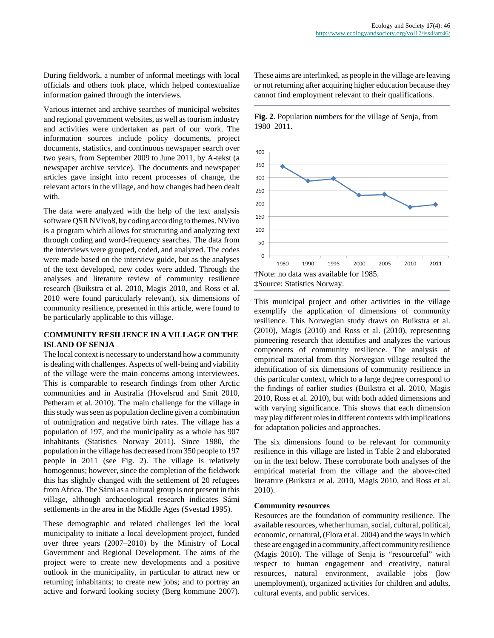During fieldwork, a number of informal meetings with local officials and others took place, which helped contextualize information gained through the interviews.

Various internet and archive searches of municipal websites and regional government websites, as well as tourism industry and activities were undertaken as part of our work. The information sources include policy documents, project documents, statistics, and continuous newspaper search over two years, from September 2009 to June 2011, by A-tekst (a newspaper archive service). The documents and newspaper articles gave insight into recent processes of change, the relevant actors in the village, and how changes had been dealt with.

The data were analyzed with the help of the text analysis software QSR NVivo8, by coding according to themes. NVivo is a program which allows for structuring and analyzing text through coding and word-frequency searches. The data from the interviews were grouped, coded, and analyzed. The codes were made based on the interview guide, but as the analyses of the text developed, new codes were added. Through the analyses and literature review of community resilience research (Buikstra et al. 2010, Magis 2010, and Ross et al. 2010 were found particularly relevant), six dimensions of community resilience, presented in this article, were found to be particularly applicable to this village.

### **COMMUNITY RESILIENCE IN A VILLAGE ON THE ISLAND OF SENJA**

The local context is necessary to understand how a community is dealing with challenges. Aspects of well-being and viability of the village were the main concerns among interviewees. This is comparable to research findings from other Arctic communities and in Australia (Hovelsrud and Smit 2010, Petheram et al. 2010). The main challenge for the village in this study was seen as population decline given a combination of outmigration and negative birth rates. The village has a population of 197, and the municipality as a whole has 907 inhabitants (Statistics Norway 2011). Since 1980, the population in the village has decreased from 350 people to 197 people in 2011 (see Fig. 2). The village is relatively homogenous; however, since the completion of the fieldwork this has slightly changed with the settlement of 20 refugees from Africa. The Sámi as a cultural group is not present in this village, although archaeological research indicates Sámi settlements in the area in the Middle Ages (Svestad 1995).

These demographic and related challenges led the local municipality to initiate a local development project, funded over three years (2007–2010) by the Ministry of Local Government and Regional Development. The aims of the project were to create new developments and a positive outlook in the municipality, in particular to attract new or returning inhabitants; to create new jobs; and to portray an active and forward looking society (Berg kommune 2007). These aims are interlinked, as people in the village are leaving or not returning after acquiring higher education because they cannot find employment relevant to their qualifications.





This municipal project and other activities in the village exemplify the application of dimensions of community resilience. This Norwegian study draws on Buikstra et al. (2010), Magis (2010) and Ross et al. (2010), representing pioneering research that identifies and analyzes the various components of community resilience. The analysis of empirical material from this Norwegian village resulted the identification of six dimensions of community resilience in this particular context, which to a large degree correspond to the findings of earlier studies (Buikstra et al. 2010, Magis 2010, Ross et al. 2010), but with both added dimensions and with varying significance. This shows that each dimension may play different roles in different contexts with implications for adaptation policies and approaches.

The six dimensions found to be relevant for community resilience in this village are listed in Table 2 and elaborated on in the text below. These corroborate both analyses of the empirical material from the village and the above-cited literature (Buikstra et al. 2010, Magis 2010, and Ross et al. 2010).

#### **Community resources**

Resources are the foundation of community resilience. The available resources, whether human, social, cultural, political, economic, or natural, (Flora et al. 2004) and the ways in which these are engaged in a community, affect community resilience (Magis 2010). The village of Senja is "resourceful" with respect to human engagement and creativity, natural resources, natural environment, available jobs (low unemployment), organized activities for children and adults, cultural events, and public services.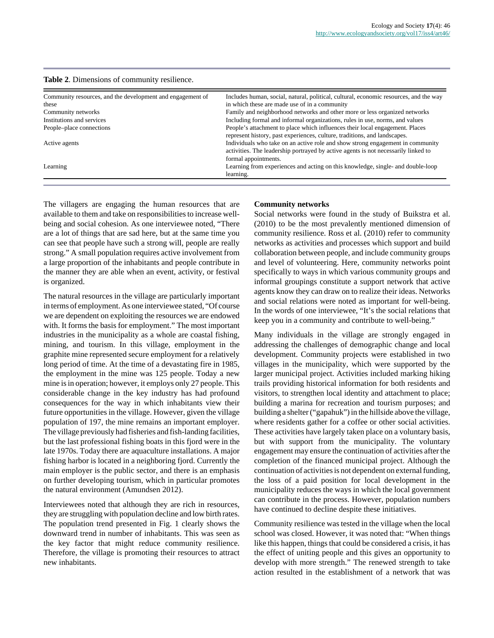| Table 2. Dimensions of community resilience. |
|----------------------------------------------|
|                                              |

| Community resources, and the development and engagement of | Includes human, social, natural, political, cultural, economic resources, and the way |  |  |
|------------------------------------------------------------|---------------------------------------------------------------------------------------|--|--|
| these                                                      | in which these are made use of in a community                                         |  |  |
| Community networks                                         | Family and neighborhood networks and other more or less organized networks            |  |  |
| Institutions and services                                  | Including formal and informal organizations, rules in use, norms, and values          |  |  |
| People–place connections                                   | People's attachment to place which influences their local engagement. Places          |  |  |
|                                                            | represent history, past experiences, culture, traditions, and landscapes.             |  |  |
| Active agents                                              | Individuals who take on an active role and show strong engagement in community        |  |  |
|                                                            | activities. The leadership portrayed by active agents is not necessarily linked to    |  |  |
|                                                            | formal appointments.                                                                  |  |  |
| Learning                                                   | Learning from experiences and acting on this knowledge, single- and double-loop       |  |  |
|                                                            | learning.                                                                             |  |  |
|                                                            |                                                                                       |  |  |

The villagers are engaging the human resources that are available to them and take on responsibilities to increase wellbeing and social cohesion. As one interviewee noted, "There are a lot of things that are sad here, but at the same time you can see that people have such a strong will, people are really strong." A small population requires active involvement from a large proportion of the inhabitants and people contribute in the manner they are able when an event, activity, or festival is organized.

The natural resources in the village are particularly important in terms of employment. As one interviewee stated, "Of course we are dependent on exploiting the resources we are endowed with. It forms the basis for employment." The most important industries in the municipality as a whole are coastal fishing, mining, and tourism. In this village, employment in the graphite mine represented secure employment for a relatively long period of time. At the time of a devastating fire in 1985, the employment in the mine was 125 people. Today a new mine is in operation; however, it employs only 27 people. This considerable change in the key industry has had profound consequences for the way in which inhabitants view their future opportunities in the village. However, given the village population of 197, the mine remains an important employer. The village previously had fisheries and fish-landing facilities, but the last professional fishing boats in this fjord were in the late 1970s. Today there are aquaculture installations. A major fishing harbor is located in a neighboring fjord. Currently the main employer is the public sector, and there is an emphasis on further developing tourism, which in particular promotes the natural environment (Amundsen 2012).

Interviewees noted that although they are rich in resources, they are struggling with population decline and low birth rates. The population trend presented in Fig. 1 clearly shows the downward trend in number of inhabitants. This was seen as the key factor that might reduce community resilience. Therefore, the village is promoting their resources to attract new inhabitants.

#### **Community networks**

Social networks were found in the study of Buikstra et al. (2010) to be the most prevalently mentioned dimension of community resilience. Ross et al. (2010) refer to community networks as activities and processes which support and build collaboration between people, and include community groups and level of volunteering. Here, community networks point specifically to ways in which various community groups and informal groupings constitute a support network that active agents know they can draw on to realize their ideas. Networks and social relations were noted as important for well-being. In the words of one interviewee, "It's the social relations that keep you in a community and contribute to well-being."

Many individuals in the village are strongly engaged in addressing the challenges of demographic change and local development. Community projects were established in two villages in the municipality, which were supported by the larger municipal project. Activities included marking hiking trails providing historical information for both residents and visitors, to strengthen local identity and attachment to place; building a marina for recreation and tourism purposes; and building a shelter ("gapahuk") in the hillside above the village, where residents gather for a coffee or other social activities. These activities have largely taken place on a voluntary basis, but with support from the municipality. The voluntary engagement may ensure the continuation of activities after the completion of the financed municipal project. Although the continuation of activities is not dependent on external funding, the loss of a paid position for local development in the municipality reduces the ways in which the local government can contribute in the process. However, population numbers have continued to decline despite these initiatives.

Community resilience was tested in the village when the local school was closed. However, it was noted that: "When things like this happen, things that could be considered a crisis, it has the effect of uniting people and this gives an opportunity to develop with more strength." The renewed strength to take action resulted in the establishment of a network that was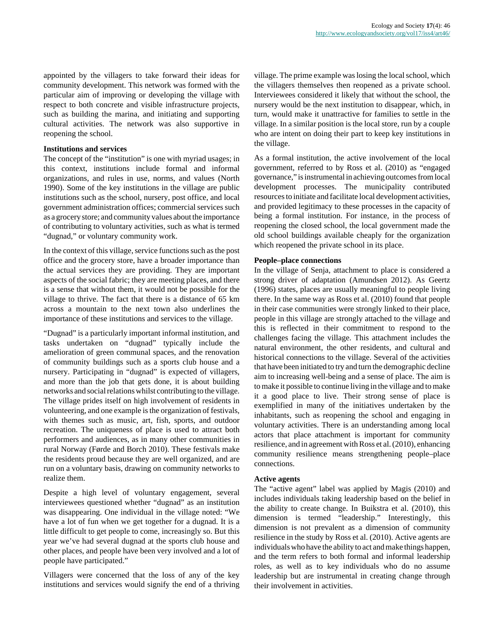appointed by the villagers to take forward their ideas for community development. This network was formed with the particular aim of improving or developing the village with respect to both concrete and visible infrastructure projects, such as building the marina, and initiating and supporting cultural activities. The network was also supportive in reopening the school.

#### **Institutions and services**

The concept of the "institution" is one with myriad usages; in this context, institutions include formal and informal organizations, and rules in use, norms, and values (North 1990). Some of the key institutions in the village are public institutions such as the school, nursery, post office, and local government administration offices; commercial services such as a grocery store; and community values about the importance of contributing to voluntary activities, such as what is termed "dugnad," or voluntary community work.

In the context of this village, service functions such as the post office and the grocery store, have a broader importance than the actual services they are providing. They are important aspects of the social fabric; they are meeting places, and there is a sense that without them, it would not be possible for the village to thrive. The fact that there is a distance of 65 km across a mountain to the next town also underlines the importance of these institutions and services to the village.

"Dugnad" is a particularly important informal institution, and tasks undertaken on "dugnad" typically include the amelioration of green communal spaces, and the renovation of community buildings such as a sports club house and a nursery. Participating in "dugnad" is expected of villagers, and more than the job that gets done, it is about building networks and social relations whilst contributing to the village. The village prides itself on high involvement of residents in volunteering, and one example is the organization of festivals, with themes such as music, art, fish, sports, and outdoor recreation. The uniqueness of place is used to attract both performers and audiences, as in many other communities in rural Norway (Førde and Borch 2010). These festivals make the residents proud because they are well organized, and are run on a voluntary basis, drawing on community networks to realize them.

Despite a high level of voluntary engagement, several interviewees questioned whether "dugnad" as an institution was disappearing. One individual in the village noted: "We have a lot of fun when we get together for a dugnad. It is a little difficult to get people to come, increasingly so. But this year we've had several dugnad at the sports club house and other places, and people have been very involved and a lot of people have participated."

Villagers were concerned that the loss of any of the key institutions and services would signify the end of a thriving village. The prime example was losing the local school, which the villagers themselves then reopened as a private school. Interviewees considered it likely that without the school, the nursery would be the next institution to disappear, which, in turn, would make it unattractive for families to settle in the village. In a similar position is the local store, run by a couple who are intent on doing their part to keep key institutions in the village.

As a formal institution, the active involvement of the local government, referred to by Ross et al. (2010) as "engaged governance," is instrumental in achieving outcomes from local development processes. The municipality contributed resources to initiate and facilitate local development activities, and provided legitimacy to these processes in the capacity of being a formal institution. For instance, in the process of reopening the closed school, the local government made the old school buildings available cheaply for the organization which reopened the private school in its place.

#### **People–place connections**

In the village of Senja, attachment to place is considered a strong driver of adaptation (Amundsen 2012). As Geertz (1996) states, places are usually meaningful to people living there. In the same way as Ross et al. (2010) found that people in their case communities were strongly linked to their place, people in this village are strongly attached to the village and this is reflected in their commitment to respond to the challenges facing the village. This attachment includes the natural environment, the other residents, and cultural and historical connections to the village. Several of the activities that have been initiated to try and turn the demographic decline aim to increasing well-being and a sense of place. The aim is to make it possible to continue living in the village and to make it a good place to live. Their strong sense of place is exemplified in many of the initiatives undertaken by the inhabitants, such as reopening the school and engaging in voluntary activities. There is an understanding among local actors that place attachment is important for community resilience, and in agreement with Ross et al. (2010), enhancing community resilience means strengthening people–place connections.

#### **Active agents**

The "active agent" label was applied by Magis (2010) and includes individuals taking leadership based on the belief in the ability to create change. In Buikstra et al. (2010), this dimension is termed "leadership." Interestingly, this dimension is not prevalent as a dimension of community resilience in the study by Ross et al. (2010). Active agents are individuals who have the ability to act and make things happen, and the term refers to both formal and informal leadership roles, as well as to key individuals who do no assume leadership but are instrumental in creating change through their involvement in activities.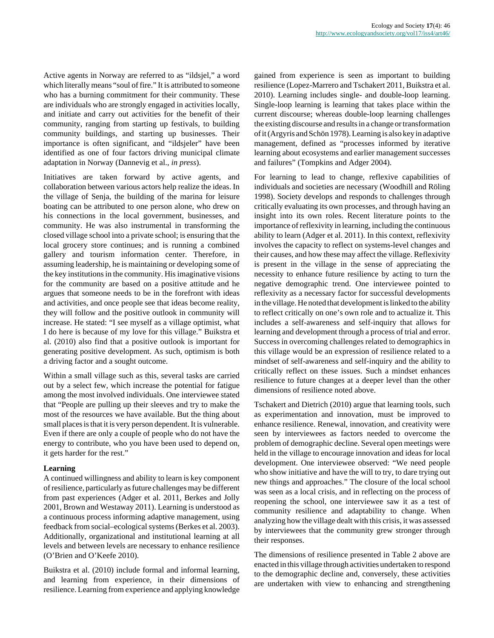Active agents in Norway are referred to as "ildsjel," a word which literally means "soul of fire." It is attributed to someone who has a burning commitment for their community. These are individuals who are strongly engaged in activities locally, and initiate and carry out activities for the benefit of their community, ranging from starting up festivals, to building community buildings, and starting up businesses. Their importance is often significant, and "ildsjeler" have been identified as one of four factors driving municipal climate adaptation in Norway (Dannevig et al., *in press*).

Initiatives are taken forward by active agents, and collaboration between various actors help realize the ideas. In the village of Senja, the building of the marina for leisure boating can be attributed to one person alone, who drew on his connections in the local government, businesses, and community. He was also instrumental in transforming the closed village school into a private school; is ensuring that the local grocery store continues; and is running a combined gallery and tourism information center. Therefore, in assuming leadership, he is maintaining or developing some of the key institutions in the community. His imaginative visions for the community are based on a positive attitude and he argues that someone needs to be in the forefront with ideas and activities, and once people see that ideas become reality, they will follow and the positive outlook in community will increase. He stated: "I see myself as a village optimist, what I do here is because of my love for this village." Buikstra et al. (2010) also find that a positive outlook is important for generating positive development. As such, optimism is both a driving factor and a sought outcome.

Within a small village such as this, several tasks are carried out by a select few, which increase the potential for fatigue among the most involved individuals. One interviewee stated that "People are pulling up their sleeves and try to make the most of the resources we have available. But the thing about small places is that it is very person dependent. It is vulnerable. Even if there are only a couple of people who do not have the energy to contribute, who you have been used to depend on, it gets harder for the rest."

#### **Learning**

A continued willingness and ability to learn is key component of resilience, particularly as future challenges may be different from past experiences (Adger et al. 2011, Berkes and Jolly 2001, Brown and Westaway 2011). Learning is understood as a continuous process informing adaptive management, using feedback from social–ecological systems (Berkes et al. 2003). Additionally, organizational and institutional learning at all levels and between levels are necessary to enhance resilience (O'Brien and O'Keefe 2010).

Buikstra et al. (2010) include formal and informal learning, and learning from experience, in their dimensions of resilience. Learning from experience and applying knowledge gained from experience is seen as important to building resilience (Lopez-Marrero and Tschakert 2011, Buikstra et al. 2010). Learning includes single- and double-loop learning. Single-loop learning is learning that takes place within the current discourse; whereas double-loop learning challenges the existing discourse and results in a change or transformation of it (Argyris and Schön 1978). Learning is also key in adaptive management, defined as "processes informed by iterative learning about ecosystems and earlier management successes and failures" (Tompkins and Adger 2004).

For learning to lead to change, reflexive capabilities of individuals and societies are necessary (Woodhill and Röling 1998). Society develops and responds to challenges through critically evaluating its own processes, and through having an insight into its own roles. Recent literature points to the importance of reflexivity in learning, including the continuous ability to learn (Adger et al. 2011). In this context, reflexivity involves the capacity to reflect on systems-level changes and their causes, and how these may affect the village. Reflexivity is present in the village in the sense of appreciating the necessity to enhance future resilience by acting to turn the negative demographic trend. One interviewee pointed to reflexivity as a necessary factor for successful developments in the village. He noted that development is linked to the ability to reflect critically on one's own role and to actualize it. This includes a self-awareness and self-inquiry that allows for learning and development through a process of trial and error. Success in overcoming challenges related to demographics in this village would be an expression of resilience related to a mindset of self-awareness and self-inquiry and the ability to critically reflect on these issues. Such a mindset enhances resilience to future changes at a deeper level than the other dimensions of resilience noted above.

Tschakert and Dietrich (2010) argue that learning tools, such as experimentation and innovation, must be improved to enhance resilience. Renewal, innovation, and creativity were seen by interviewees as factors needed to overcome the problem of demographic decline. Several open meetings were held in the village to encourage innovation and ideas for local development. One interviewee observed: "We need people who show initiative and have the will to try, to dare trying out new things and approaches." The closure of the local school was seen as a local crisis, and in reflecting on the process of reopening the school, one interviewee saw it as a test of community resilience and adaptability to change. When analyzing how the village dealt with this crisis, it was assessed by interviewees that the community grew stronger through their responses.

The dimensions of resilience presented in Table 2 above are enacted in this village through activities undertaken to respond to the demographic decline and, conversely, these activities are undertaken with view to enhancing and strengthening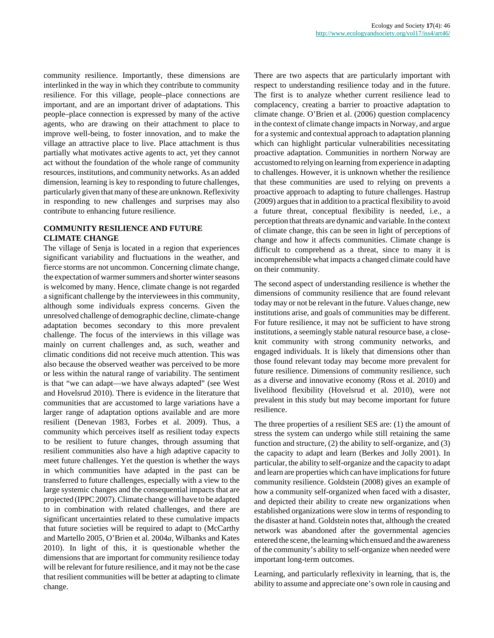community resilience. Importantly, these dimensions are interlinked in the way in which they contribute to community resilience. For this village, people–place connections are important, and are an important driver of adaptations. This people–place connection is expressed by many of the active agents, who are drawing on their attachment to place to improve well-being, to foster innovation, and to make the village an attractive place to live. Place attachment is thus partially what motivates active agents to act, yet they cannot act without the foundation of the whole range of community resources, institutions, and community networks. As an added dimension, learning is key to responding to future challenges, particularly given that many of these are unknown. Reflexivity in responding to new challenges and surprises may also contribute to enhancing future resilience.

#### **COMMUNITY RESILIENCE AND FUTURE CLIMATE CHANGE**

The village of Senja is located in a region that experiences significant variability and fluctuations in the weather, and fierce storms are not uncommon. Concerning climate change, the expectation of warmer summers and shorter winter seasons is welcomed by many. Hence, climate change is not regarded a significant challenge by the interviewees in this community, although some individuals express concerns. Given the unresolved challenge of demographic decline, climate-change adaptation becomes secondary to this more prevalent challenge. The focus of the interviews in this village was mainly on current challenges and, as such, weather and climatic conditions did not receive much attention. This was also because the observed weather was perceived to be more or less within the natural range of variability. The sentiment is that "we can adapt—we have always adapted" (see West and Hovelsrud 2010). There is evidence in the literature that communities that are accustomed to large variations have a larger range of adaptation options available and are more resilient (Denevan 1983, Forbes et al. 2009). Thus, a community which perceives itself as resilient today expects to be resilient to future changes, through assuming that resilient communities also have a high adaptive capacity to meet future challenges. Yet the question is whether the ways in which communities have adapted in the past can be transferred to future challenges, especially with a view to the large systemic changes and the consequential impacts that are projected (IPPC 2007). Climate change will have to be adapted to in combination with related challenges, and there are significant uncertainties related to these cumulative impacts that future societies will be required to adapt to (McCarthy and Martello 2005, O'Brien et al. 2004*a*, Wilbanks and Kates 2010). In light of this, it is questionable whether the dimensions that are important for community resilience today will be relevant for future resilience, and it may not be the case that resilient communities will be better at adapting to climate change.

There are two aspects that are particularly important with respect to understanding resilience today and in the future. The first is to analyze whether current resilience lead to complacency, creating a barrier to proactive adaptation to climate change. O'Brien et al. (2006) question complacency in the context of climate change impacts in Norway, and argue for a systemic and contextual approach to adaptation planning which can highlight particular vulnerabilities necessitating proactive adaptation. Communities in northern Norway are accustomed to relying on learning from experience in adapting to challenges. However, it is unknown whether the resilience that these communities are used to relying on prevents a proactive approach to adapting to future challenges. Hastrup (2009) argues that in addition to a practical flexibility to avoid a future threat, conceptual flexibility is needed, i.e., a perception that threats are dynamic and variable. In the context of climate change, this can be seen in light of perceptions of change and how it affects communities. Climate change is difficult to comprehend as a threat, since to many it is incomprehensible what impacts a changed climate could have on their community.

The second aspect of understanding resilience is whether the dimensions of community resilience that are found relevant today may or not be relevant in the future. Values change, new institutions arise, and goals of communities may be different. For future resilience, it may not be sufficient to have strong institutions, a seemingly stable natural resource base, a closeknit community with strong community networks, and engaged individuals. It is likely that dimensions other than those found relevant today may become more prevalent for future resilience. Dimensions of community resilience, such as a diverse and innovative economy (Ross et al. 2010) and livelihood flexibility (Hovelsrud et al. 2010), were not prevalent in this study but may become important for future resilience.

The three properties of a resilient SES are: (1) the amount of stress the system can undergo while still retaining the same function and structure, (2) the ability to self-organize, and (3) the capacity to adapt and learn (Berkes and Jolly 2001). In particular, the ability to self-organize and the capacity to adapt and learn are properties which can have implications for future community resilience. Goldstein (2008) gives an example of how a community self-organized when faced with a disaster, and depicted their ability to create new organizations when established organizations were slow in terms of responding to the disaster at hand. Goldstein notes that, although the created network was abandoned after the governmental agencies entered the scene, the learning which ensued and the awareness of the community's ability to self-organize when needed were important long-term outcomes.

Learning, and particularly reflexivity in learning, that is, the ability to assume and appreciate one's own role in causing and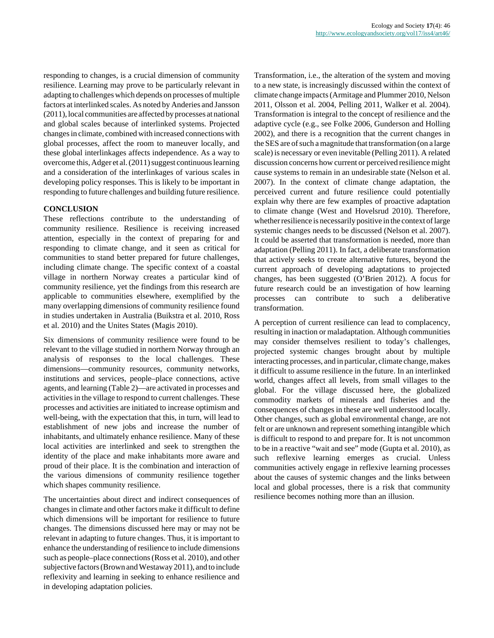responding to changes, is a crucial dimension of community resilience. Learning may prove to be particularly relevant in adapting to challenges which depends on processes of multiple factors at interlinked scales. As noted by Anderies and Jansson (2011), local communities are affected by processes at national and global scales because of interlinked systems. Projected changes in climate, combined with increased connections with global processes, affect the room to maneuver locally, and these global interlinkages affects independence. As a way to overcome this, Adger et al. (2011) suggest continuous learning and a consideration of the interlinkages of various scales in developing policy responses. This is likely to be important in responding to future challenges and building future resilience.

## **CONCLUSION**

These reflections contribute to the understanding of community resilience. Resilience is receiving increased attention, especially in the context of preparing for and responding to climate change, and it seen as critical for communities to stand better prepared for future challenges, including climate change. The specific context of a coastal village in northern Norway creates a particular kind of community resilience, yet the findings from this research are applicable to communities elsewhere, exemplified by the many overlapping dimensions of community resilience found in studies undertaken in Australia (Buikstra et al. 2010, Ross et al. 2010) and the Unites States (Magis 2010).

Six dimensions of community resilience were found to be relevant to the village studied in northern Norway through an analysis of responses to the local challenges. These dimensions—community resources, community networks, institutions and services, people–place connections, active agents, and learning (Table 2)—are activated in processes and activities in the village to respond to current challenges. These processes and activities are initiated to increase optimism and well-being, with the expectation that this, in turn, will lead to establishment of new jobs and increase the number of inhabitants, and ultimately enhance resilience. Many of these local activities are interlinked and seek to strengthen the identity of the place and make inhabitants more aware and proud of their place. It is the combination and interaction of the various dimensions of community resilience together which shapes community resilience.

The uncertainties about direct and indirect consequences of changes in climate and other factors make it difficult to define which dimensions will be important for resilience to future changes. The dimensions discussed here may or may not be relevant in adapting to future changes. Thus, it is important to enhance the understanding of resilience to include dimensions such as people–place connections (Ross et al. 2010), and other subjective factors (Brown and Westaway 2011), and to include reflexivity and learning in seeking to enhance resilience and in developing adaptation policies.

Transformation, i.e., the alteration of the system and moving to a new state, is increasingly discussed within the context of climate change impacts (Armitage and Plummer 2010, Nelson 2011, Olsson et al. 2004, Pelling 2011, Walker et al. 2004). Transformation is integral to the concept of resilience and the adaptive cycle (e.g., see Folke 2006, Gunderson and Holling 2002), and there is a recognition that the current changes in the SES are of such a magnitude that transformation (on a large scale) is necessary or even inevitable (Pelling 2011). A related discussion concerns how current or perceived resilience might cause systems to remain in an undesirable state (Nelson et al. 2007). In the context of climate change adaptation, the perceived current and future resilience could potentially explain why there are few examples of proactive adaptation to climate change (West and Hovelsrud 2010). Therefore, whether resilience is necessarily positive in the context of large systemic changes needs to be discussed (Nelson et al. 2007). It could be asserted that transformation is needed, more than adaptation (Pelling 2011). In fact, a deliberate transformation that actively seeks to create alternative futures, beyond the current approach of developing adaptations to projected changes, has been suggested (O'Brien 2012). A focus for future research could be an investigation of how learning processes can contribute to such a deliberative transformation.

A perception of current resilience can lead to complacency, resulting in inaction or maladaptation. Although communities may consider themselves resilient to today's challenges, projected systemic changes brought about by multiple interacting processes, and in particular, climate change, makes it difficult to assume resilience in the future. In an interlinked world, changes affect all levels, from small villages to the global. For the village discussed here, the globalized commodity markets of minerals and fisheries and the consequences of changes in these are well understood locally. Other changes, such as global environmental change, are not felt or are unknown and represent something intangible which is difficult to respond to and prepare for. It is not uncommon to be in a reactive "wait and see" mode (Gupta et al. 2010), as such reflexive learning emerges as crucial. Unless communities actively engage in reflexive learning processes about the causes of systemic changes and the links between local and global processes, there is a risk that community resilience becomes nothing more than an illusion.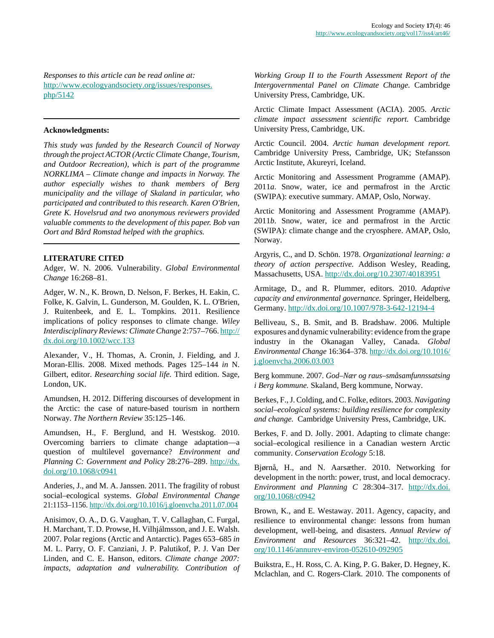*Responses to this article can be read online at:* [http://www.ecologyandsociety.org/issues/responses.](http://www.ecologyandsociety.org/issues/responses.php/5142) [php/5142](http://www.ecologyandsociety.org/issues/responses.php/5142)

#### **Acknowledgments:**

*This study was funded by the Research Council of Norway through the project ACTOR (Arctic Climate Change, Tourism, and Outdoor Recreation), which is part of the programme NORKLIMA – Climate change and impacts in Norway. The author especially wishes to thank members of Berg municipality and the village of Skaland in particular, who participated and contributed to this research. Karen O'Brien, Grete K. Hovelsrud and two anonymous reviewers provided valuable comments to the development of this paper. Bob van Oort and Bård Romstad helped with the graphics.*

#### **LITERATURE CITED**

Adger, W. N. 2006. Vulnerability. *Global Environmental Change* 16:268–81.

Adger, W. N., K. Brown, D. Nelson, F. Berkes, H. Eakin, C. Folke, K. Galvin, L. Gunderson, M. Goulden, K. L. O'Brien, J. Ruitenbeek, and E. L. Tompkins. 2011. Resilience implications of policy responses to climate change. *Wiley Interdisciplinary Reviews: Climate Change* 2:757–766. [http://](http://dx.doi.org/10.1002/wcc.133) [dx.doi.org/10.1002/wcc.133](http://dx.doi.org/10.1002/wcc.133)

Alexander, V., H. Thomas, A. Cronin, J. Fielding, and J. Moran-Ellis. 2008. Mixed methods. Pages 125–144 *in* N. Gilbert, editor. *Researching social life.* Third edition. Sage, London, UK.

Amundsen, H. 2012. Differing discourses of development in the Arctic: the case of nature-based tourism in northern Norway. *The Northern Review* 35:125–146.

Amundsen, H., F. Berglund, and H. Westskog. 2010. Overcoming barriers to climate change adaptation—a question of multilevel governance? *Environment and* Planning C: Government and Policy 28:276-289. [http://dx.](http://dx.doi.org/10.1068/c0941) [doi.org/10.1068/c0941](http://dx.doi.org/10.1068/c0941)

Anderies, J., and M. A. Janssen. 2011. The fragility of robust social–ecological systems. *Global Environmental Change* 21:1153–1156.<http://dx.doi.org/10.1016/j.gloenvcha.2011.07.004>

Anisimov, O. A., D. G. Vaughan, T. V. Callaghan, C. Furgal, H. Marchant, T. D. Prowse, H. Vilhjálmsson, and J. E. Walsh. 2007. Polar regions (Arctic and Antarctic). Pages 653–685 *in* M. L. Parry, O. F. Canziani, J. P. Palutikof, P. J. Van Der Linden, and C. E. Hanson, editors. *Climate change 2007: impacts, adaptation and vulnerability. Contribution of*

*Working Group II to the Fourth Assessment Report of the Intergovernmental Panel on Climate Change.* Cambridge University Press, Cambridge, UK.

Arctic Climate Impact Assessment (ACIA). 2005. *Arctic climate impact assessment scientific report.* Cambridge University Press, Cambridge, UK.

Arctic Council. 2004. *Arctic human development report.* Cambridge University Press, Cambridge, UK; Stefansson Arctic Institute, Akureyri, Iceland.

Arctic Monitoring and Assessment Programme (AMAP). 2011*a*. Snow, water, ice and permafrost in the Arctic (SWIPA): executive summary. AMAP, Oslo, Norway.

Arctic Monitoring and Assessment Programme (AMAP). 2011*b*. Snow, water, ice and permafrost in the Arctic (SWIPA): climate change and the cryosphere. AMAP, Oslo, Norway.

Argyris, C., and D. Schön. 1978. *Organizational learning: a theory of action perspective.* Addison Wesley, Reading, Massachusetts, USA. <http://dx.doi.org/10.2307/40183951>

Armitage, D., and R. Plummer, editors. 2010. *Adaptive capacity and environmental governance.* Springer, Heidelberg, Germany.<http://dx.doi.org/10.1007/978-3-642-12194-4>

Belliveau, S., B. Smit, and B. Bradshaw. 2006. Multiple exposures and dynamic vulnerability: evidence from the grape industry in the Okanagan Valley, Canada. *Global Environmental Change* 16:364–378. [http://dx.doi.org/10.1016/](http://dx.doi.org/10.1016/j.gloenvcha.2006.03.003) [j.gloenvcha.2006.03.003](http://dx.doi.org/10.1016/j.gloenvcha.2006.03.003)

Berg kommune. 2007. *God–Nær og raus–småsamfunnssatsing i Berg kommune.* Skaland, Berg kommune, Norway.

Berkes, F., J. Colding, and C. Folke, editors. 2003. *Navigating social–ecological systems: building resilience for complexity and change.* Cambridge University Press, Cambridge, UK.

Berkes, F. and D. Jolly. 2001. Adapting to climate change: social–ecological resilience in a Canadian western Arctic community. *Conservation Ecology* 5:18.

Bjørnå, H., and N. Aarsæther. 2010. Networking for development in the north: power, trust, and local democracy. *Environment and Planning C* 28:304–317. [http://dx.doi.](http://dx.doi.org/10.1068/c0942) [org/10.1068/c0942](http://dx.doi.org/10.1068/c0942)

Brown, K., and E. Westaway. 2011. Agency, capacity, and resilience to environmental change: lessons from human development, well-being, and disasters. *Annual Review of Environment and Resources* 36:321–42. [http://dx.doi.](http://dx.doi.org/10.1146/annurev-environ-052610-092905) [org/10.1146/annurev-environ-052610-092905](http://dx.doi.org/10.1146/annurev-environ-052610-092905)

Buikstra, E., H. Ross, C. A. King, P. G. Baker, D. Hegney, K. Mclachlan, and C. Rogers-Clark. 2010. The components of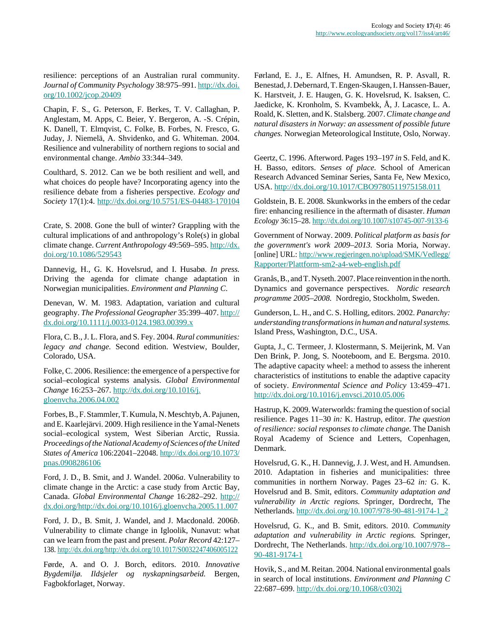resilience: perceptions of an Australian rural community. *Journal of Community Psychology* 38:975–991. [http://dx.doi.](http://dx.doi.org/10.1002/jcop.20409) [org/10.1002/jcop.20409](http://dx.doi.org/10.1002/jcop.20409)

Chapin, F. S., G. Peterson, F. Berkes, T. V. Callaghan, P. Anglestam, M. Apps, C. Beier, Y. Bergeron, A. -S. Crépin, K. Danell, T. Elmqvist, C. Folke, B. Forbes, N. Fresco, G. Juday, J. Niemelä, A. Shvidenko, and G. Whiteman. 2004. Resilience and vulnerability of northern regions to social and environmental change. *Ambio* 33:344–349.

Coulthard, S. 2012. Can we be both resilient and well, and what choices do people have? Incorporating agency into the resilience debate from a fisheries perspective. *Ecology and Society* 17(1):4. <http://dx.doi.org/10.5751/ES-04483-170104>

Crate, S. 2008. Gone the bull of winter? Grappling with the cultural implications of and anthropology's Role(s) in global climate change. *Current Anthropology* 49:569–595. [http://dx.](http://dx.doi.org/10.1086/529543) [doi.org/10.1086/529543](http://dx.doi.org/10.1086/529543)

Dannevig, H., G. K. Hovelsrud, and I. Husabø. *In press.* Driving the agenda for climate change adaptation in Norwegian municipalities. *Environment and Planning C*.

Denevan, W. M. 1983. Adaptation, variation and cultural geography. *The Professional Geographer* 35:399–407. [http://](http://dx.doi.org/10.1111/j.0033-0124.1983.00399.x) [dx.doi.org/10.1111/j.0033-0124.1983.00399.x](http://dx.doi.org/10.1111/j.0033-0124.1983.00399.x)

Flora, C. B., J. L. Flora, and S. Fey. 2004. *Rural communities: legacy and change.* Second edition. Westview, Boulder, Colorado, USA.

Folke, C. 2006. Resilience: the emergence of a perspective for social–ecological systems analysis. *Global Environmental Change* 16:253–267. [http://dx.doi.org/10.1016/j.](http://dx.doi.org/10.1016/j.gloenvcha.2006.04.002) [gloenvcha.2006.04.002](http://dx.doi.org/10.1016/j.gloenvcha.2006.04.002)

Forbes, B., F. Stammler, T. Kumula, N. Meschtyb, A. Pajunen, and E. Kaarlejärvi. 2009. High resilience in the Yamal-Nenets social–ecological system, West Siberian Arctic, Russia. *Proceedings of the National Academy of Sciences of the United States of America* 106:22041–22048. [http://dx.doi.org/10.1073/](http://dx.doi.org/10.1073/pnas.0908286106) [pnas.0908286106](http://dx.doi.org/10.1073/pnas.0908286106)

Ford, J. D., B. Smit, and J. Wandel. 2006*a*. Vulnerability to climate change in the Arctic: a case study from Arctic Bay, Canada. *Global Environmental Change* 16:282–292. [http://](http://dx.doi.org/http://dx.doi.org/10.1016/j.gloenvcha.2005.11.007) [dx.doi.org/http://dx.doi.org/10.1016/j.gloenvcha.2005.11.007](http://dx.doi.org/http://dx.doi.org/10.1016/j.gloenvcha.2005.11.007)

Ford, J. D., B. Smit, J. Wandel, and J. Macdonald. 2006*b*. Vulnerability to climate change in Igloolik, Nunavut: what can we learn from the past and present. *Polar Record* 42:127– 138.<http://dx.doi.org/http://dx.doi.org/10.1017/S0032247406005122>

Førde, A. and O. J. Borch, editors. 2010. *Innovative Bygdemiljø. Ildsjeler og nyskapningsarbeid.* Bergen, Fagbokforlaget, Norway.

Førland, E. J., E. Alfnes, H. Amundsen, R. P. Asvall, R. Benestad, J. Debernard, T. Engen-Skaugen, I. Hanssen-Bauer, K. Harstveit, J. E. Haugen, G. K. Hovelsrud, K. Isaksen, C. Jaedicke, K. Kronholm, S. Kvambekk, Å, J. Lacasce, L. A. Roald, K. Sletten, and K. Stalsberg. 2007. *Climate change and natural disasters in Norway: an assessment of possible future changes.* Norwegian Meteorological Institute, Oslo, Norway.

Geertz, C. 1996. Afterword. Pages 193–197 *in* S. Feld, and K. H. Basso, editors. *Senses of place.* School of American Research Advanced Seminar Series, Santa Fe, New Mexico, USA. <http://dx.doi.org/10.1017/CBO9780511975158.011>

Goldstein, B. E. 2008. Skunkworks in the embers of the cedar fire: enhancing resilience in the aftermath of disaster. *Human Ecology* 36:15–28.<http://dx.doi.org/10.1007/s10745-007-9133-6>

Government of Norway. 2009. *Political platform as basis for the government's work 2009–2013.* Soria Moria, Norway. [online] URL: [http://www.regjeringen.no/upload/SMK/Vedlegg/](http://www.regjeringen.no/upload/SMK/Vedlegg/Rapporter/Plattform-sm2-a4-web-english.pdf) [Rapporter/Plattform-sm2-a4-web-english.pdf](http://www.regjeringen.no/upload/SMK/Vedlegg/Rapporter/Plattform-sm2-a4-web-english.pdf)

Granås, B., and T. Nyseth. 2007. Place reinvention in the north. Dynamics and governance perspectives. *Nordic research programme 2005–2008.* Nordregio, Stockholm, Sweden.

Gunderson, L. H., and C. S. Holling, editors. 2002. *Panarchy: understanding transformations in human and natural systems.* Island Press, Washington, D.C., USA.

Gupta, J., C. Termeer, J. Klostermann, S. Meijerink, M. Van Den Brink, P. Jong, S. Nooteboom, and E. Bergsma. 2010. The adaptive capacity wheel: a method to assess the inherent characteristics of institutions to enable the adaptive capacity of society. *Environmental Science and Policy* 13:459–471. <http://dx.doi.org/10.1016/j.envsci.2010.05.006>

Hastrup, K. 2009. Waterworlds: framing the question of social resilience. Pages 11–30 *in:* K. Hastrup, editor. *The question of resilience: social responses to climate change.* The Danish Royal Academy of Science and Letters, Copenhagen, Denmark.

Hovelsrud, G. K., H. Dannevig, J. J. West, and H. Amundsen. 2010. Adaptation in fisheries and municipalities: three communities in northern Norway. Pages 23–62 *in:* G. K. Hovelsrud and B. Smit, editors. *Community adaptation and vulnerability in Arctic regions.* Springer, Dordrecht, The Netherlands. [http://dx.doi.org/10.1007/978-90-481-9174-1\\_2](http://dx.doi.org/10.1007/978-90-481-9174-1_2)

Hovelsrud, G. K., and B. Smit, editors. 2010. *Community adaptation and vulnerability in Arctic regions.* Springer, Dordrecht, The Netherlands. [http://dx.doi.org/10.1007/978--](http://dx.doi.org/10.1007/978-90-481-9174-1) [90-481-9174-1](http://dx.doi.org/10.1007/978-90-481-9174-1)

Hovik, S., and M. Reitan. 2004. National environmental goals in search of local institutions. *Environment and Planning C* 22:687–699. <http://dx.doi.org/10.1068/c0302j>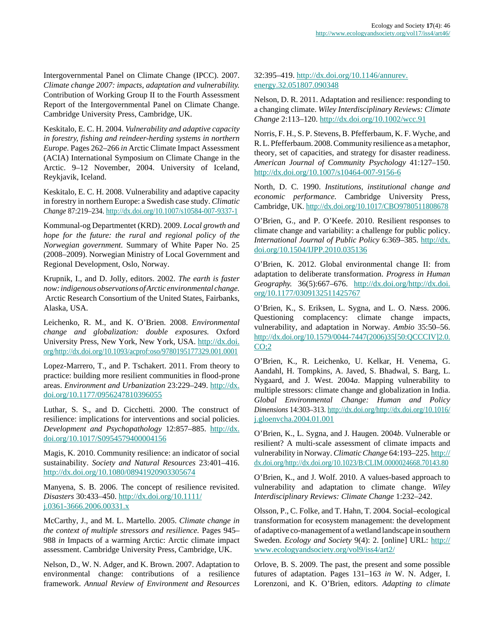Intergovernmental Panel on Climate Change (IPCC). 2007. *Climate change 2007: impacts, adaptation and vulnerability.* Contribution of Working Group II to the Fourth Assessment Report of the Intergovernmental Panel on Climate Change. Cambridge University Press, Cambridge, UK.

Keskitalo, E. C. H. 2004. *Vulnerability and adaptive capacity in forestry, fishing and reindeer-herding systems in northern Europe.* Pages 262–266 *in* Arctic Climate Impact Assessment (ACIA) International Symposium on Climate Change in the Arctic. 9–12 November, 2004. University of Iceland, Reykjavik, Iceland.

Keskitalo, E. C. H. 2008. Vulnerability and adaptive capacity in forestry in northern Europe: a Swedish case study. *Climatic Change* 87:219–234. <http://dx.doi.org/10.1007/s10584-007-9337-1>

Kommunal-og Departmentet (KRD). 2009. *Local growth and hope for the future: the rural and regional policy of the Norwegian government.* Summary of White Paper No. 25 (2008–2009). Norwegian Ministry of Local Government and Regional Development, Oslo, Norway.

Krupnik, I., and D. Jolly, editors. 2002. *The earth is faster now: indigenous observations of Arctic environmental change.* Arctic Research Consortium of the United States, Fairbanks, Alaska, USA.

Leichenko, R. M., and K. O'Brien. 2008. *Environmental change and globalization: double exposures.* Oxford University Press, New York, New York, USA. [http://dx.doi.](http://dx.doi.org/http://dx.doi.org/10.1093/acprof:oso/9780195177329.001.0001) [org/http://dx.doi.org/10.1093/acprof:oso/9780195177329.001.0001](http://dx.doi.org/http://dx.doi.org/10.1093/acprof:oso/9780195177329.001.0001)

Lopez-Marrero, T., and P. Tschakert. 2011. From theory to practice: building more resilient communities in flood-prone areas. *Environment and Urbanization* 23:229–249. [http://dx.](http://dx.doi.org/10.1177/0956247810396055) [doi.org/10.1177/0956247810396055](http://dx.doi.org/10.1177/0956247810396055)

Luthar, S. S., and D. Cicchetti. 2000. The construct of resilience: implications for interventions and social policies. *Development and Psychopathology* 12:857–885. [http://dx.](http://dx.doi.org/10.1017/S0954579400004156) [doi.org/10.1017/S0954579400004156](http://dx.doi.org/10.1017/S0954579400004156)

Magis, K. 2010. Community resilience: an indicator of social sustainability. *Society and Natural Resources* 23:401–416. <http://dx.doi.org/10.1080/08941920903305674>

Manyena, S. B. 2006. The concept of resilience revisited. *Disasters* 30:433–450. [http://dx.doi.org/10.1111/](http://dx.doi.org/10.1111/j.0361-3666.2006.00331.x) [j.0361-3666.2006.00331.x](http://dx.doi.org/10.1111/j.0361-3666.2006.00331.x)

McCarthy, J., and M. L. Martello. 2005. *Climate change in the context of multiple stressors and resilience.* Pages 945– 988 *in* Impacts of a warming Arctic: Arctic climate impact assessment. Cambridge University Press, Cambridge, UK.

Nelson, D., W. N. Adger, and K. Brown. 2007. Adaptation to environmental change: contributions of a resilience framework. *Annual Review of Environment and Resources*

## 32:395–419. [http://dx.doi.org/10.1146/annurev.](http://dx.doi.org/10.1146/annurev.energy.32.051807.090348) [energy.32.051807.090348](http://dx.doi.org/10.1146/annurev.energy.32.051807.090348)

Nelson, D. R. 2011. Adaptation and resilience: responding to a changing climate. *Wiley Interdisciplinary Reviews: Climate Change* 2:113–120.<http://dx.doi.org/10.1002/wcc.91>

Norris, F. H., S. P. Stevens, B. Pfefferbaum, K. F. Wyche, and R. L. Pfefferbaum. 2008. Community resilience as a metaphor, theory, set of capacities, and strategy for disaster readiness. *American Journal of Community Psychology* 41:127–150. <http://dx.doi.org/10.1007/s10464-007-9156-6>

North, D. C. 1990. *Institutions, institutional change and economic performance.* Cambridge University Press, Cambridge, UK.<http://dx.doi.org/10.1017/CBO9780511808678>

O'Brien, G., and P. O'Keefe. 2010. Resilient responses to climate change and variability: a challenge for public policy. *International Journal of Public Policy* 6:369–385. [http://dx.](http://dx.doi.org/10.1504/IJPP.2010.035136) [doi.org/10.1504/IJPP.2010.035136](http://dx.doi.org/10.1504/IJPP.2010.035136)

O'Brien, K. 2012. Global environmental change II: from adaptation to deliberate transformation. *Progress in Human Geography.* 36(5):667–676. [http://dx.doi.org/http://dx.doi.](http://dx.doi.org/http://dx.doi.org/10.1177/0309132511425767) [org/10.1177/0309132511425767](http://dx.doi.org/http://dx.doi.org/10.1177/0309132511425767)

O'Brien, K., S. Eriksen, L. Sygna, and L. O. Næss. 2006. Questioning complacency: climate change impacts, vulnerability, and adaptation in Norway. *Ambio* 35:50–56. [http://dx.doi.org/10.1579/0044-7447\(2006\)35\[50:QCCCIV\]2.0.](http://dx.doi.org/10.1579/0044-7447(2006)35[50:QCCCIV]2.0.CO;2) [CO;2](http://dx.doi.org/10.1579/0044-7447(2006)35[50:QCCCIV]2.0.CO;2)

O'Brien, K., R. Leichenko, U. Kelkar, H. Venema, G. Aandahl, H. Tompkins, A. Javed, S. Bhadwal, S. Barg, L. Nygaard, and J. West. 2004*a*. Mapping vulnerability to multiple stressors: climate change and globalization in India. *Global Environmental Change: Human and Policy Dimensions* 14:303–313. [http://dx.doi.org/http://dx.doi.org/10.1016/](http://dx.doi.org/http://dx.doi.org/10.1016/j.gloenvcha.2004.01.001) [j.gloenvcha.2004.01.001](http://dx.doi.org/http://dx.doi.org/10.1016/j.gloenvcha.2004.01.001)

O'Brien, K., L. Sygna, and J. Haugen. 2004*b*. Vulnerable or resilient? A multi-scale assessment of climate impacts and vulnerability in Norway. *Climatic Change* 64:193–225. [http://](http://dx.doi.org/http://dx.doi.org/10.1023/B:CLIM.0000024668.70143.80) [dx.doi.org/http://dx.doi.org/10.1023/B:CLIM.0000024668.70143.80](http://dx.doi.org/http://dx.doi.org/10.1023/B:CLIM.0000024668.70143.80)

O'Brien, K., and J. Wolf. 2010. A values-based approach to vulnerability and adaptation to climate change. *Wiley Interdisciplinary Reviews: Climate Change* 1:232–242.

Olsson, P., C. Folke, and T. Hahn, T. 2004. Social–ecological transformation for ecosystem management: the development of adaptive co-management of a wetland landscape in southern Sweden. *Ecology and Society* 9(4): 2. [online] URL: [http://](http://www.ecologyandsociety.org/vol9/iss4/art2/) [www.ecologyandsociety.org/vol9/iss4/art2/](http://www.ecologyandsociety.org/vol9/iss4/art2/)

Orlove, B. S. 2009. The past, the present and some possible futures of adaptation. Pages 131–163 *in* W. N. Adger, I. Lorenzoni, and K. O'Brien, editors. *Adapting to climate*